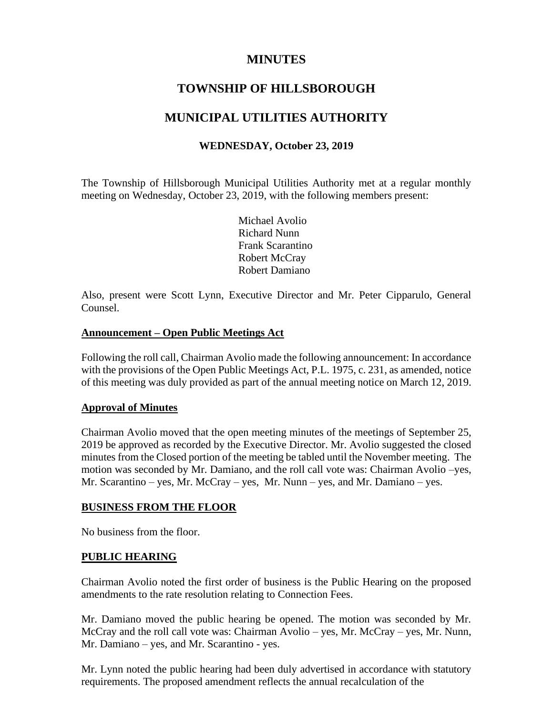## **MINUTES**

# **TOWNSHIP OF HILLSBOROUGH**

# **MUNICIPAL UTILITIES AUTHORITY**

## **WEDNESDAY, October 23, 2019**

The Township of Hillsborough Municipal Utilities Authority met at a regular monthly meeting on Wednesday, October 23, 2019, with the following members present:

> Michael Avolio Richard Nunn Frank Scarantino Robert McCray Robert Damiano

Also, present were Scott Lynn, Executive Director and Mr. Peter Cipparulo, General Counsel.

#### **Announcement – Open Public Meetings Act**

Following the roll call, Chairman Avolio made the following announcement: In accordance with the provisions of the Open Public Meetings Act, P.L. 1975, c. 231, as amended, notice of this meeting was duly provided as part of the annual meeting notice on March 12, 2019.

### **Approval of Minutes**

Chairman Avolio moved that the open meeting minutes of the meetings of September 25, 2019 be approved as recorded by the Executive Director. Mr. Avolio suggested the closed minutes from the Closed portion of the meeting be tabled until the November meeting. The motion was seconded by Mr. Damiano, and the roll call vote was: Chairman Avolio –yes, Mr. Scarantino – yes, Mr. McCray – yes, Mr. Nunn – yes, and Mr. Damiano – yes.

### **BUSINESS FROM THE FLOOR**

No business from the floor.

### **PUBLIC HEARING**

Chairman Avolio noted the first order of business is the Public Hearing on the proposed amendments to the rate resolution relating to Connection Fees.

Mr. Damiano moved the public hearing be opened. The motion was seconded by Mr. McCray and the roll call vote was: Chairman Avolio – yes, Mr. McCray – yes, Mr. Nunn, Mr. Damiano – yes, and Mr. Scarantino - yes.

Mr. Lynn noted the public hearing had been duly advertised in accordance with statutory requirements. The proposed amendment reflects the annual recalculation of the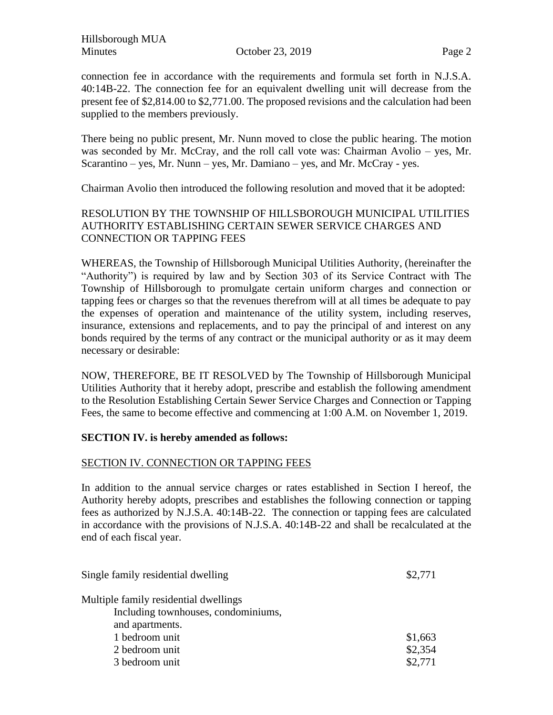Hillsborough MUA Minutes Corober 23, 2019 Page 2

connection fee in accordance with the requirements and formula set forth in N.J.S.A. 40:14B-22. The connection fee for an equivalent dwelling unit will decrease from the present fee of \$2,814.00 to \$2,771.00. The proposed revisions and the calculation had been supplied to the members previously.

There being no public present, Mr. Nunn moved to close the public hearing. The motion was seconded by Mr. McCray, and the roll call vote was: Chairman Avolio – yes, Mr. Scarantino – yes, Mr. Nunn – yes, Mr. Damiano – yes, and Mr. McCray - yes.

Chairman Avolio then introduced the following resolution and moved that it be adopted:

## RESOLUTION BY THE TOWNSHIP OF HILLSBOROUGH MUNICIPAL UTILITIES AUTHORITY ESTABLISHING CERTAIN SEWER SERVICE CHARGES AND CONNECTION OR TAPPING FEES

WHEREAS, the Township of Hillsborough Municipal Utilities Authority, (hereinafter the "Authority") is required by law and by Section 303 of its Service Contract with The Township of Hillsborough to promulgate certain uniform charges and connection or tapping fees or charges so that the revenues therefrom will at all times be adequate to pay the expenses of operation and maintenance of the utility system, including reserves, insurance, extensions and replacements, and to pay the principal of and interest on any bonds required by the terms of any contract or the municipal authority or as it may deem necessary or desirable:

NOW, THEREFORE, BE IT RESOLVED by The Township of Hillsborough Municipal Utilities Authority that it hereby adopt, prescribe and establish the following amendment to the Resolution Establishing Certain Sewer Service Charges and Connection or Tapping Fees, the same to become effective and commencing at 1:00 A.M. on November 1, 2019.

### **SECTION IV. is hereby amended as follows:**

### SECTION IV. CONNECTION OR TAPPING FEES

In addition to the annual service charges or rates established in Section I hereof, the Authority hereby adopts, prescribes and establishes the following connection or tapping fees as authorized by N.J.S.A. 40:14B-22. The connection or tapping fees are calculated in accordance with the provisions of N.J.S.A. 40:14B-22 and shall be recalculated at the end of each fiscal year.

| Single family residential dwelling    | \$2,771 |
|---------------------------------------|---------|
| Multiple family residential dwellings |         |
| Including townhouses, condominiums,   |         |
| and apartments.                       |         |
| 1 bedroom unit                        | \$1,663 |
| 2 bedroom unit                        | \$2,354 |
| 3 bedroom unit                        | \$2,771 |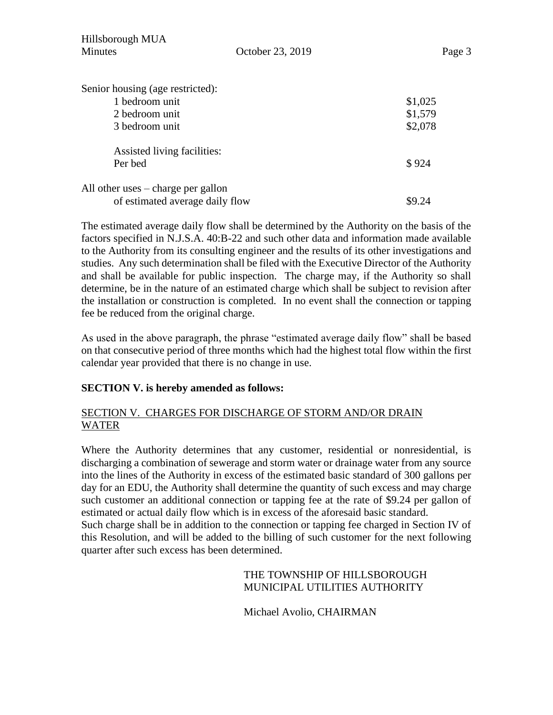| Hillsborough MUA<br><b>Minutes</b>   | October 23, 2019 | Page 3  |
|--------------------------------------|------------------|---------|
| Senior housing (age restricted):     |                  |         |
| 1 bedroom unit                       |                  | \$1,025 |
| 2 bedroom unit                       |                  | \$1,579 |
| 3 bedroom unit                       |                  | \$2,078 |
| Assisted living facilities:          |                  |         |
| Per bed                              |                  | \$924   |
| All other uses $-$ charge per gallon |                  |         |
| of estimated average daily flow      |                  | \$9.24  |

The estimated average daily flow shall be determined by the Authority on the basis of the factors specified in N.J.S.A. 40:B-22 and such other data and information made available to the Authority from its consulting engineer and the results of its other investigations and studies. Any such determination shall be filed with the Executive Director of the Authority and shall be available for public inspection. The charge may, if the Authority so shall determine, be in the nature of an estimated charge which shall be subject to revision after the installation or construction is completed. In no event shall the connection or tapping fee be reduced from the original charge.

As used in the above paragraph, the phrase "estimated average daily flow" shall be based on that consecutive period of three months which had the highest total flow within the first calendar year provided that there is no change in use.

## **SECTION V. is hereby amended as follows:**

## SECTION V. CHARGES FOR DISCHARGE OF STORM AND/OR DRAIN WATER

Where the Authority determines that any customer, residential or nonresidential, is discharging a combination of sewerage and storm water or drainage water from any source into the lines of the Authority in excess of the estimated basic standard of 300 gallons per day for an EDU, the Authority shall determine the quantity of such excess and may charge such customer an additional connection or tapping fee at the rate of \$9.24 per gallon of estimated or actual daily flow which is in excess of the aforesaid basic standard. Such charge shall be in addition to the connection or tapping fee charged in Section IV of

this Resolution, and will be added to the billing of such customer for the next following quarter after such excess has been determined.

## THE TOWNSHIP OF HILLSBOROUGH MUNICIPAL UTILITIES AUTHORITY

Michael Avolio, CHAIRMAN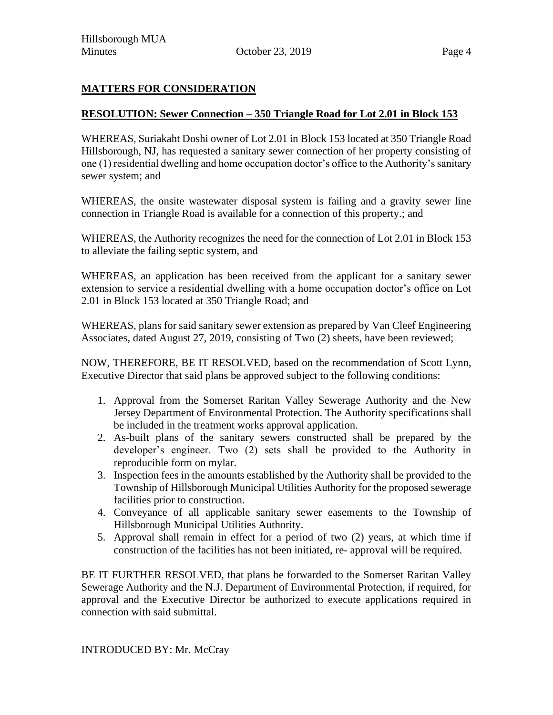## **MATTERS FOR CONSIDERATION**

### **RESOLUTION: Sewer Connection – 350 Triangle Road for Lot 2.01 in Block 153**

WHEREAS, Suriakaht Doshi owner of Lot 2.01 in Block 153 located at 350 Triangle Road Hillsborough, NJ, has requested a sanitary sewer connection of her property consisting of one (1) residential dwelling and home occupation doctor's office to the Authority's sanitary sewer system; and

WHEREAS, the onsite wastewater disposal system is failing and a gravity sewer line connection in Triangle Road is available for a connection of this property.; and

WHEREAS, the Authority recognizes the need for the connection of Lot 2.01 in Block 153 to alleviate the failing septic system, and

WHEREAS, an application has been received from the applicant for a sanitary sewer extension to service a residential dwelling with a home occupation doctor's office on Lot 2.01 in Block 153 located at 350 Triangle Road; and

WHEREAS, plans for said sanitary sewer extension as prepared by Van Cleef Engineering Associates, dated August 27, 2019, consisting of Two (2) sheets, have been reviewed;

NOW, THEREFORE, BE IT RESOLVED, based on the recommendation of Scott Lynn, Executive Director that said plans be approved subject to the following conditions:

- 1. Approval from the Somerset Raritan Valley Sewerage Authority and the New Jersey Department of Environmental Protection. The Authority specifications shall be included in the treatment works approval application.
- 2. As-built plans of the sanitary sewers constructed shall be prepared by the developer's engineer. Two (2) sets shall be provided to the Authority in reproducible form on mylar.
- 3. Inspection fees in the amounts established by the Authority shall be provided to the Township of Hillsborough Municipal Utilities Authority for the proposed sewerage facilities prior to construction.
- 4. Conveyance of all applicable sanitary sewer easements to the Township of Hillsborough Municipal Utilities Authority.
- 5. Approval shall remain in effect for a period of two (2) years, at which time if construction of the facilities has not been initiated, re- approval will be required.

BE IT FURTHER RESOLVED, that plans be forwarded to the Somerset Raritan Valley Sewerage Authority and the N.J. Department of Environmental Protection, if required, for approval and the Executive Director be authorized to execute applications required in connection with said submittal.

INTRODUCED BY: Mr. McCray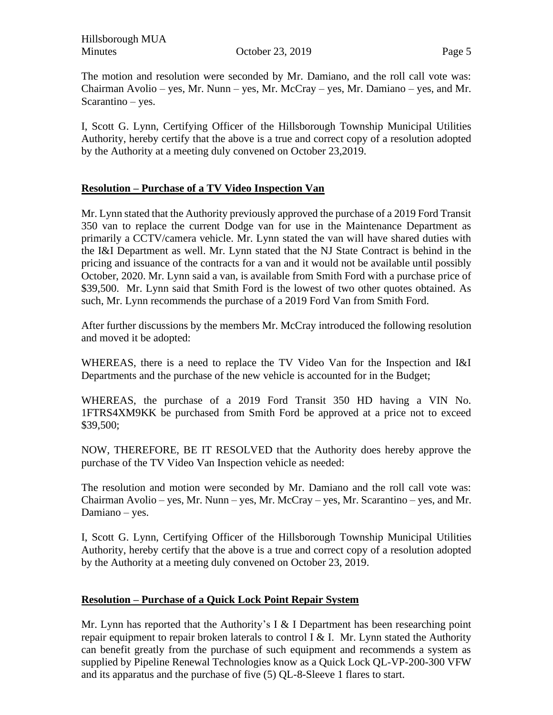Hillsborough MUA Minutes Corober 23, 2019 **Page 5** 

The motion and resolution were seconded by Mr. Damiano, and the roll call vote was: Chairman Avolio – yes, Mr. Nunn – yes, Mr. McCray – yes, Mr. Damiano – yes, and Mr. Scarantino – yes.

I, Scott G. Lynn, Certifying Officer of the Hillsborough Township Municipal Utilities Authority, hereby certify that the above is a true and correct copy of a resolution adopted by the Authority at a meeting duly convened on October 23,2019.

## **Resolution – Purchase of a TV Video Inspection Van**

Mr. Lynn stated that the Authority previously approved the purchase of a 2019 Ford Transit 350 van to replace the current Dodge van for use in the Maintenance Department as primarily a CCTV/camera vehicle. Mr. Lynn stated the van will have shared duties with the I&I Department as well. Mr. Lynn stated that the NJ State Contract is behind in the pricing and issuance of the contracts for a van and it would not be available until possibly October, 2020. Mr. Lynn said a van, is available from Smith Ford with a purchase price of \$39,500. Mr. Lynn said that Smith Ford is the lowest of two other quotes obtained. As such, Mr. Lynn recommends the purchase of a 2019 Ford Van from Smith Ford.

After further discussions by the members Mr. McCray introduced the following resolution and moved it be adopted:

WHEREAS, there is a need to replace the TV Video Van for the Inspection and I&I Departments and the purchase of the new vehicle is accounted for in the Budget;

WHEREAS, the purchase of a 2019 Ford Transit 350 HD having a VIN No. 1FTRS4XM9KK be purchased from Smith Ford be approved at a price not to exceed \$39,500;

NOW, THEREFORE, BE IT RESOLVED that the Authority does hereby approve the purchase of the TV Video Van Inspection vehicle as needed:

The resolution and motion were seconded by Mr. Damiano and the roll call vote was: Chairman Avolio – yes, Mr. Nunn – yes, Mr. McCray – yes, Mr. Scarantino – yes, and Mr. Damiano – yes.

I, Scott G. Lynn, Certifying Officer of the Hillsborough Township Municipal Utilities Authority, hereby certify that the above is a true and correct copy of a resolution adopted by the Authority at a meeting duly convened on October 23, 2019.

### **Resolution – Purchase of a Quick Lock Point Repair System**

Mr. Lynn has reported that the Authority's I & I Department has been researching point repair equipment to repair broken laterals to control I  $&$  I. Mr. Lynn stated the Authority can benefit greatly from the purchase of such equipment and recommends a system as supplied by Pipeline Renewal Technologies know as a Quick Lock QL-VP-200-300 VFW and its apparatus and the purchase of five (5) QL-8-Sleeve 1 flares to start.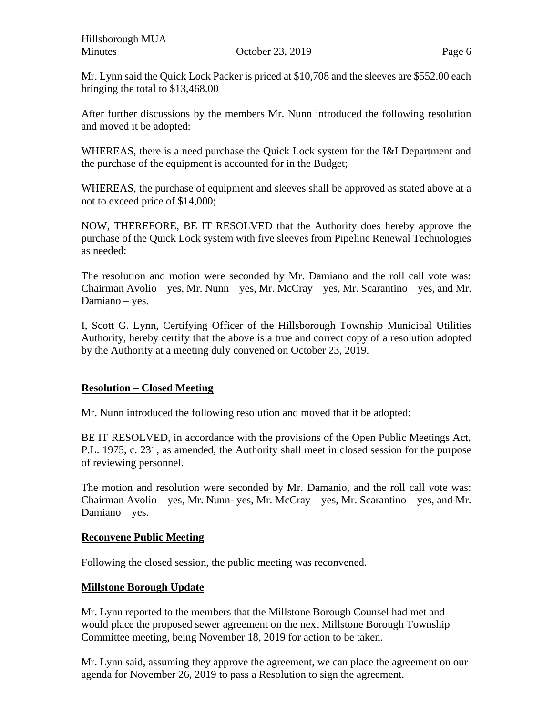Mr. Lynn said the Quick Lock Packer is priced at \$10,708 and the sleeves are \$552.00 each bringing the total to \$13,468.00

After further discussions by the members Mr. Nunn introduced the following resolution and moved it be adopted:

WHEREAS, there is a need purchase the Quick Lock system for the I&I Department and the purchase of the equipment is accounted for in the Budget;

WHEREAS, the purchase of equipment and sleeves shall be approved as stated above at a not to exceed price of \$14,000;

NOW, THEREFORE, BE IT RESOLVED that the Authority does hereby approve the purchase of the Quick Lock system with five sleeves from Pipeline Renewal Technologies as needed:

The resolution and motion were seconded by Mr. Damiano and the roll call vote was: Chairman Avolio – yes, Mr. Nunn – yes, Mr. McCray – yes, Mr. Scarantino – yes, and Mr. Damiano – yes.

I, Scott G. Lynn, Certifying Officer of the Hillsborough Township Municipal Utilities Authority, hereby certify that the above is a true and correct copy of a resolution adopted by the Authority at a meeting duly convened on October 23, 2019.

## **Resolution – Closed Meeting**

Mr. Nunn introduced the following resolution and moved that it be adopted:

BE IT RESOLVED, in accordance with the provisions of the Open Public Meetings Act, P.L. 1975, c. 231, as amended, the Authority shall meet in closed session for the purpose of reviewing personnel.

The motion and resolution were seconded by Mr. Damanio, and the roll call vote was: Chairman Avolio – yes, Mr. Nunn- yes, Mr. McCray – yes, Mr. Scarantino – yes, and Mr. Damiano – yes.

### **Reconvene Public Meeting**

Following the closed session, the public meeting was reconvened.

### **Millstone Borough Update**

Mr. Lynn reported to the members that the Millstone Borough Counsel had met and would place the proposed sewer agreement on the next Millstone Borough Township Committee meeting, being November 18, 2019 for action to be taken.

Mr. Lynn said, assuming they approve the agreement, we can place the agreement on our agenda for November 26, 2019 to pass a Resolution to sign the agreement.